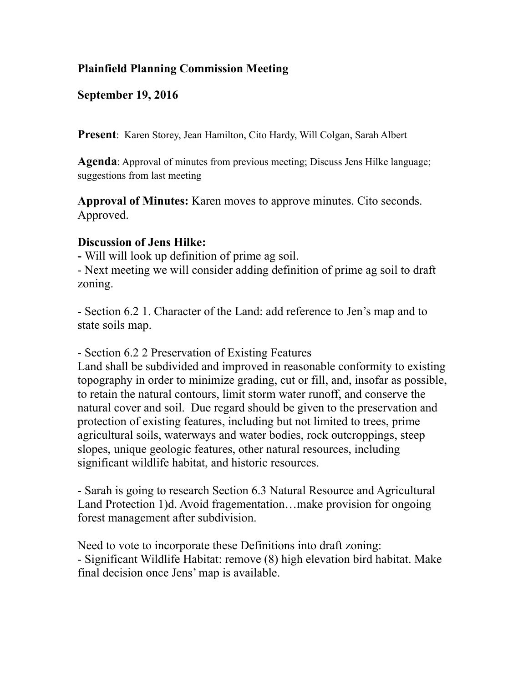## **Plainfield Planning Commission Meeting**

## **September 19, 2016**

**Present**: Karen Storey, Jean Hamilton, Cito Hardy, Will Colgan, Sarah Albert

**Agenda**: Approval of minutes from previous meeting; Discuss Jens Hilke language; suggestions from last meeting

**Approval of Minutes:** Karen moves to approve minutes. Cito seconds. Approved.

## **Discussion of Jens Hilke:**

**-** Will will look up definition of prime ag soil.

- Next meeting we will consider adding definition of prime ag soil to draft zoning.

- Section 6.2 1. Character of the Land: add reference to Jen's map and to state soils map.

- Section 6.2 2 Preservation of Existing Features

Land shall be subdivided and improved in reasonable conformity to existing topography in order to minimize grading, cut or fill, and, insofar as possible, to retain the natural contours, limit storm water runoff, and conserve the natural cover and soil. Due regard should be given to the preservation and protection of existing features, including but not limited to trees, prime agricultural soils, waterways and water bodies, rock outcroppings, steep slopes, unique geologic features, other natural resources, including significant wildlife habitat, and historic resources.

- Sarah is going to research Section 6.3 Natural Resource and Agricultural Land Protection 1)d. Avoid fragementation...make provision for ongoing forest management after subdivision.

Need to vote to incorporate these Definitions into draft zoning: - Significant Wildlife Habitat: remove (8) high elevation bird habitat. Make final decision once Jens' map is available.